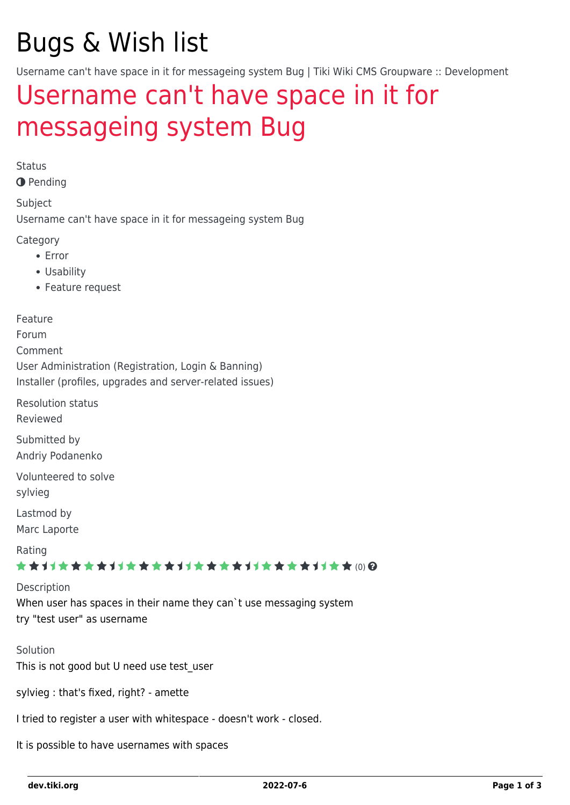# Bugs & Wish list

Username can't have space in it for messageing system Bug | Tiki Wiki CMS Groupware :: Development

## [Username can't have space in it for](https://dev.tiki.org/item265-Username-can-t-have-space-in-it-for-messageing-system-Bug) [messageing system Bug](https://dev.tiki.org/item265-Username-can-t-have-space-in-it-for-messageing-system-Bug)

Status

**O** Pending

Subject

Username can't have space in it for messageing system Bug

Category

- Error
- Usability
- Feature request

Feature

Forum Comment User Administration (Registration, Login & Banning) Installer (profiles, upgrades and server-related issues)

Resolution status Reviewed

Submitted by Andriy Podanenko

Volunteered to solve sylvieg

Lastmod by Marc Laporte

Rating

★★11★★★★11★★★★11★★★★11★★★★11★★ (0)@

Description

When user has spaces in their name they can`t use messaging system try "test user" as username

Solution This is not good but U need use test user

sylvieg : that's fixed, right? - amette

I tried to register a user with whitespace - doesn't work - closed.

It is possible to have usernames with spaces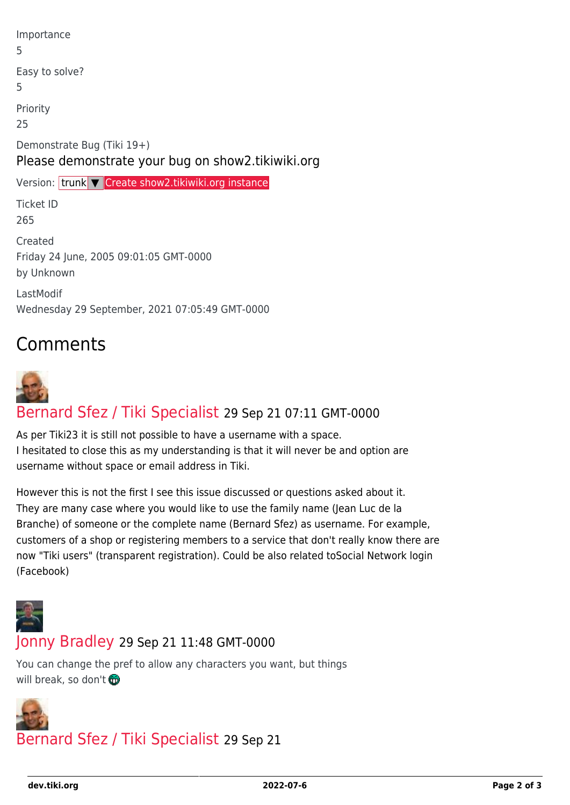| Importance<br>5                                                                 |
|---------------------------------------------------------------------------------|
| Easy to solve?<br>5                                                             |
| Priority<br>25                                                                  |
| Demonstrate Bug (Tiki 19+)<br>Please demonstrate your bug on show2.tikiwiki.org |
| Version: trunk V Create show2.tikiwiki.org instance                             |
|                                                                                 |
| <b>Ticket ID</b><br>265                                                         |
| Created<br>Friday 24 June, 2005 09:01:05 GMT-0000<br>by Unknown                 |

### Comments



#### [Bernard Sfez / Tiki Specialist](https://dev.tiki.org/user11581) 29 Sep 21 07:11 GMT-0000

As per Tiki23 it is still not possible to have a username with a space. I hesitated to close this as my understanding is that it will never be and option are username without space or email address in Tiki.

However this is not the first I see this issue discussed or questions asked about it. They are many case where you would like to use the family name (Jean Luc de la Branche) of someone or the complete name (Bernard Sfez) as username. For example, customers of a shop or registering members to a service that don't really know there are now "Tiki users" (transparent registration). Could be also related toSocial Network login (Facebook)



#### [Jonny Bradley](https://dev.tiki.org/user8515) 29 Sep 21 11:48 GMT-0000

You can change the pref to allow any characters you want, but things will break, so don't



#### [Bernard Sfez / Tiki Specialist](https://dev.tiki.org/user11581) 29 Sep 21